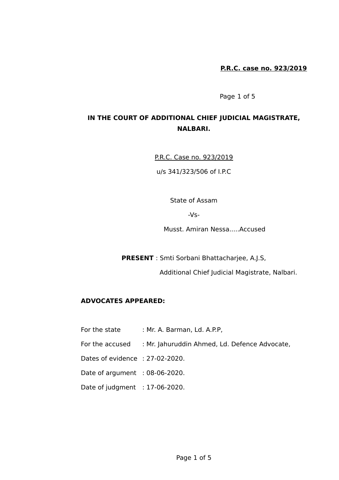Page 1 of 5

# **IN THE COURT OF ADDITIONAL CHIEF JUDICIAL MAGISTRATE, NALBARI.**

P.R.C. Case no. 923/2019

u/s 341/323/506 of I.P.C

State of Assam

-Vs-

Musst. Amiran Nessa.....Accused

**PRESENT** : Smti Sorbani Bhattacharjee, A.J.S,

Additional Chief Judicial Magistrate, Nalbari.

### **ADVOCATES APPEARED:**

For the state : Mr. A. Barman, Ld. A.P.P, For the accused : Mr. Jahuruddin Ahmed, Ld. Defence Advocate, Dates of evidence : 27-02-2020. Date of argument : 08-06-2020. Date of judgment : 17-06-2020.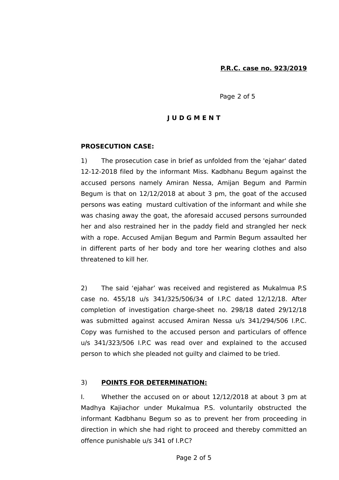Page 2 of 5

#### **J U D G M E N T**

### **PROSECUTION CASE:**

1) The prosecution case in brief as unfolded from the 'ejahar' dated 12-12-2018 filed by the informant Miss. Kadbhanu Begum against the accused persons namely Amiran Nessa, Amijan Begum and Parmin Begum is that on 12/12/2018 at about 3 pm, the goat of the accused persons was eating mustard cultivation of the informant and while she was chasing away the goat, the aforesaid accused persons surrounded her and also restrained her in the paddy field and strangled her neck with a rope. Accused Amijan Begum and Parmin Begum assaulted her in different parts of her body and tore her wearing clothes and also threatened to kill her.

2) The said 'ejahar' was received and registered as Mukalmua P.S case no. 455/18 u/s 341/325/506/34 of I.P.C dated 12/12/18. After completion of investigation charge-sheet no. 298/18 dated 29/12/18 was submitted against accused Amiran Nessa u/s 341/294/506 I.P.C. Copy was furnished to the accused person and particulars of offence u/s 341/323/506 I.P.C was read over and explained to the accused person to which she pleaded not guilty and claimed to be tried.

#### 3) **POINTS FOR DETERMINATION:**

I. Whether the accused on or about 12/12/2018 at about 3 pm at Madhya Kajiachor under Mukalmua P.S. voluntarily obstructed the informant Kadbhanu Begum so as to prevent her from proceeding in direction in which she had right to proceed and thereby committed an offence punishable u/s 341 of I.P.C?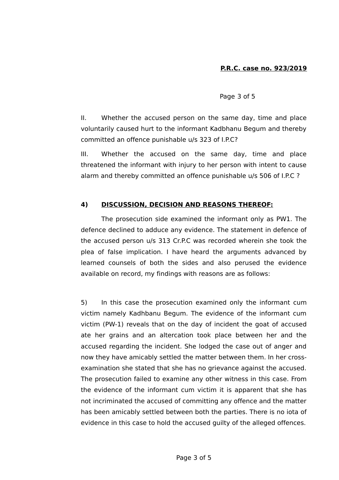Page 3 of 5

II. Whether the accused person on the same day, time and place voluntarily caused hurt to the informant Kadbhanu Begum and thereby committed an offence punishable u/s 323 of I.P.C?

III. Whether the accused on the same day, time and place threatened the informant with injury to her person with intent to cause alarm and thereby committed an offence punishable u/s 506 of I.P.C ?

### **4) DISCUSSION, DECISION AND REASONS THEREOF:**

The prosecution side examined the informant only as PW1. The defence declined to adduce any evidence. The statement in defence of the accused person u/s 313 Cr.P.C was recorded wherein she took the plea of false implication. I have heard the arguments advanced by learned counsels of both the sides and also perused the evidence available on record, my findings with reasons are as follows:

5) In this case the prosecution examined only the informant cum victim namely Kadhbanu Begum. The evidence of the informant cum victim (PW-1) reveals that on the day of incident the goat of accused ate her grains and an altercation took place between her and the accused regarding the incident. She lodged the case out of anger and now they have amicably settled the matter between them. In her crossexamination she stated that she has no grievance against the accused. The prosecution failed to examine any other witness in this case. From the evidence of the informant cum victim it is apparent that she has not incriminated the accused of committing any offence and the matter has been amicably settled between both the parties. There is no iota of evidence in this case to hold the accused guilty of the alleged offences.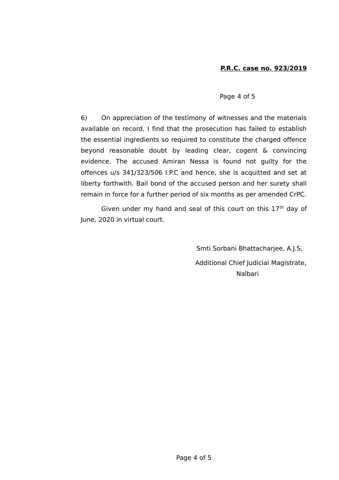#### Page 4 of 5

6) On appreciation of the testimony of witnesses and the materials available on record, I find that the prosecution has failed to establish the essential ingredients so required to constitute the charged offence beyond reasonable doubt by leading clear, cogent & convincing evidence. The accused Amiran Nessa is found not guilty for the offences u/s 341/323/506 I.P.C and hence, she is acquitted and set at liberty forthwith. Bail bond of the accused person and her surety shall remain in force for a further period of six months as per amended CrPC.

Given under my hand and seal of this court on this  $17<sup>th</sup>$  day of June, 2020 in virtual court.

> Smti Sorbani Bhattacharjee, A.J.S, Additional Chief Judicial Magistrate, Nalbari